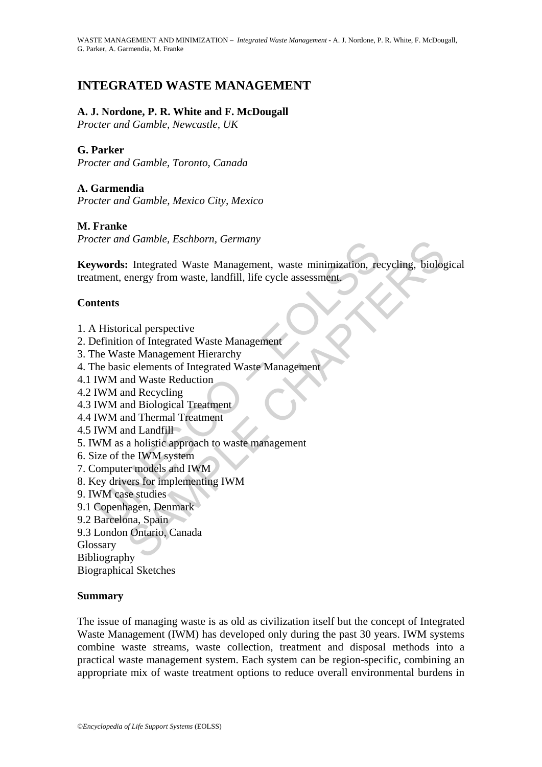# **INTEGRATED WASTE MANAGEMENT**

## **A. J. Nordone, P. R. White and F. McDougall**

*Procter and Gamble, Newcastle, UK* 

## **G. Parker**

*Procter and Gamble, Toronto, Canada* 

## **A. Garmendia**

*Procter and Gamble, Mexico City, Mexico* 

## **M. Franke**

*Procter and Gamble, Eschborn, Germany* 

Commission Commission, Commission, Commission, The Management, waste minimization, retment, energy from waste, landfill, life cycle assessment.<br> **Example 18.1**<br>
Internet example of the properties<br>
Existed and Master Manage a Gambie, Eschborn, Germany<br>
S. Integrated Waste Management, waste minimization, recycling, biolog<br>
energy from waste, landfill, life cycle assessment<br>
rical perspective<br>
rical perspective<br>
rical perspective<br>
rest Manageme **Keywords:** Integrated Waste Management, waste minimization, recycling, biological treatment, energy from waste, landfill, life cycle assessment.

### **Contents**

- 1. A Historical perspective
- 2. Definition of Integrated Waste Management
- 3. The Waste Management Hierarchy
- 4. The basic elements of Integrated Waste Management
- 4.1 IWM and Waste Reduction
- 4.2 IWM and Recycling
- 4.3 IWM and Biological Treatment
- 4.4 IWM and Thermal Treatment
- 4.5 IWM and Landfill
- 5. IWM as a holistic approach to waste management
- 6. Size of the IWM system
- 7. Computer models and IWM
- 8. Key drivers for implementing IWM
- 9. IWM case studies
- 9.1 Copenhagen, Denmark
- 9.2 Barcelona, Spain
- 9.3 London Ontario, Canada

Glossary

Bibliography

Biographical Sketches

## **Summary**

The issue of managing waste is as old as civilization itself but the concept of Integrated Waste Management (IWM) has developed only during the past 30 years. IWM systems combine waste streams, waste collection, treatment and disposal methods into a practical waste management system. Each system can be region-specific, combining an appropriate mix of waste treatment options to reduce overall environmental burdens in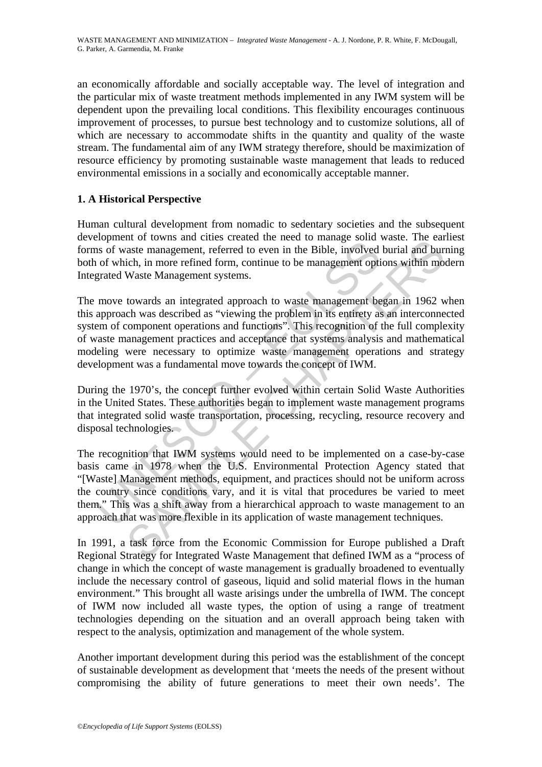an economically affordable and socially acceptable way. The level of integration and the particular mix of waste treatment methods implemented in any IWM system will be dependent upon the prevailing local conditions. This flexibility encourages continuous improvement of processes, to pursue best technology and to customize solutions, all of which are necessary to accommodate shifts in the quantity and quality of the waste stream. The fundamental aim of any IWM strategy therefore, should be maximization of resource efficiency by promoting sustainable waste management that leads to reduced environmental emissions in a socially and economically acceptable manner.

## **1. A Historical Perspective**

Human cultural development from nomadic to sedentary societies and the subsequent development of towns and cities created the need to manage solid waste. The earliest forms of waste management, referred to even in the Bible, involved burial and burning both of which, in more refined form, continue to be management options within modern Integrated Waste Management systems.

The move towards an integrated approach to waste management began in 1962 when this approach was described as "viewing the problem in its entirety as an interconnected system of component operations and functions". This recognition of the full complexity of waste management practices and acceptance that systems analysis and mathematical modeling were necessary to optimize waste management operations and strategy development was a fundamental move towards the concept of IWM.

During the 1970's, the concept further evolved within certain Solid Waste Authorities in the United States. These authorities began to implement waste management programs that integrated solid waste transportation, processing, recycling, resource recovery and disposal technologies.

Experient to towns and crites created are level to made the mangement, referred to even in the Bible, involved<br>and of which, in more refined form, continue to be management optigrated Waste Management systems.<br>
move toward m of owns and chease teak of the deed to bualange solon waste. The can<br>aste management, referred to even in the Bible, involved burial and bur<br>tich, in more refined form, continue to be management options within mo<br>Waste M The recognition that IWM systems would need to be implemented on a case-by-case basis came in 1978 when the U.S. Environmental Protection Agency stated that "[Waste] Management methods, equipment, and practices should not be uniform across the country since conditions vary, and it is vital that procedures be varied to meet them." This was a shift away from a hierarchical approach to waste management to an approach that was more flexible in its application of waste management techniques.

In 1991, a task force from the Economic Commission for Europe published a Draft Regional Strategy for Integrated Waste Management that defined IWM as a "process of change in which the concept of waste management is gradually broadened to eventually include the necessary control of gaseous, liquid and solid material flows in the human environment." This brought all waste arisings under the umbrella of IWM. The concept of IWM now included all waste types, the option of using a range of treatment technologies depending on the situation and an overall approach being taken with respect to the analysis, optimization and management of the whole system.

Another important development during this period was the establishment of the concept of sustainable development as development that 'meets the needs of the present without compromising the ability of future generations to meet their own needs'. The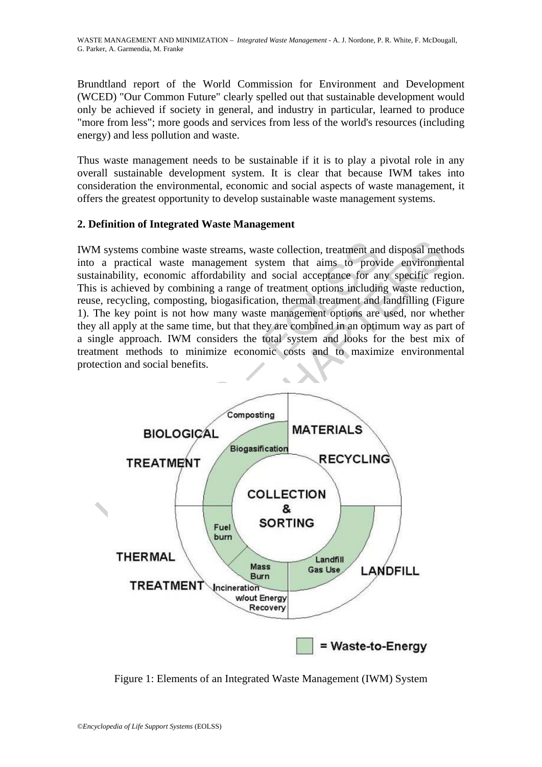Brundtland report of the World Commission for Environment and Development (WCED) "Our Common Future" clearly spelled out that sustainable development would only be achieved if society in general, and industry in particular, learned to produce "more from less"; more goods and services from less of the world's resources (including energy) and less pollution and waste.

Thus waste management needs to be sustainable if it is to play a pivotal role in any overall sustainable development system. It is clear that because IWM takes into consideration the environmental, economic and social aspects of waste management, it offers the greatest opportunity to develop sustainable waste management systems.

## **2. Definition of Integrated Waste Management**

IWM systems combine waste streams, waste collection, treatment and disposal methods into a practical waste management system that aims to provide environmental sustainability, economic affordability and social acceptance for any specific region. This is achieved by combining a range of treatment options including waste reduction, reuse, recycling, composting, biogasification, thermal treatment and landfilling (Figure 1). The key point is not how many waste management options are used, nor whether they all apply at the same time, but that they are combined in an optimum way as part of a single approach. IWM considers the total system and looks for the best mix of treatment methods to minimize economic costs and to maximize environmental protection and social benefits.



Figure 1: Elements of an Integrated Waste Management (IWM) System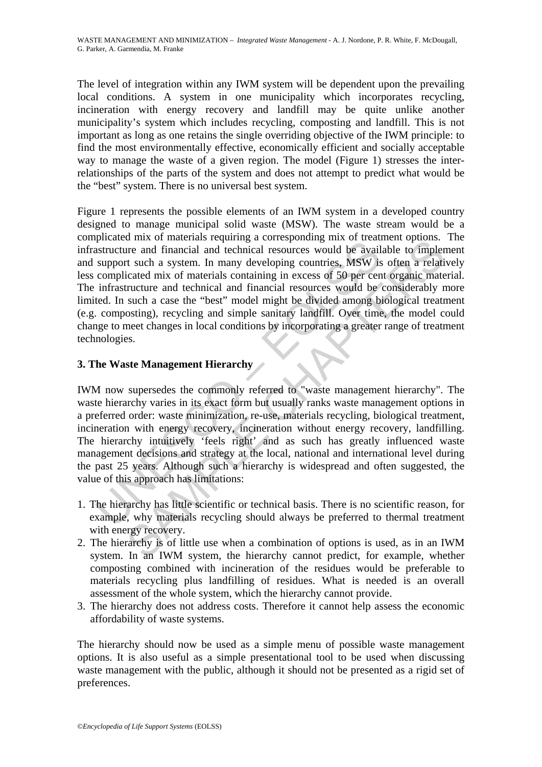The level of integration within any IWM system will be dependent upon the prevailing local conditions. A system in one municipality which incorporates recycling, incineration with energy recovery and landfill may be quite unlike another municipality's system which includes recycling, composting and landfill. This is not important as long as one retains the single overriding objective of the IWM principle: to find the most environmentally effective, economically efficient and socially acceptable way to manage the waste of a given region. The model (Figure 1) stresses the interrelationships of the parts of the system and does not attempt to predict what would be the "best" system. There is no universal best system.

presence and the more imaginal control and technical resources would be avail<br>astructure and financial and technical resources would be avail<br>support such a system. In many developing countries, MSW is<br>complicated mix of m d may or materials requiring a corresponding may or incarnet options.<br>The and financial and technical resources would be available to implement and financial and technical resources would be available to implement<br>tracted Figure 1 represents the possible elements of an IWM system in a developed country designed to manage municipal solid waste (MSW). The waste stream would be a complicated mix of materials requiring a corresponding mix of treatment options. The infrastructure and financial and technical resources would be available to implement and support such a system. In many developing countries, MSW is often a relatively less complicated mix of materials containing in excess of 50 per cent organic material. The infrastructure and technical and financial resources would be considerably more limited. In such a case the "best" model might be divided among biological treatment (e.g. composting), recycling and simple sanitary landfill. Over time, the model could change to meet changes in local conditions by incorporating a greater range of treatment technologies.

## **3. The Waste Management Hierarchy**

IWM now supersedes the commonly referred to "waste management hierarchy". The waste hierarchy varies in its exact form but usually ranks waste management options in a preferred order: waste minimization, re-use, materials recycling, biological treatment, incineration with energy recovery, incineration without energy recovery, landfilling. The hierarchy intuitively 'feels right' and as such has greatly influenced waste management decisions and strategy at the local, national and international level during the past 25 years. Although such a hierarchy is widespread and often suggested, the value of this approach has limitations:

- 1. The hierarchy has little scientific or technical basis. There is no scientific reason, for example, why materials recycling should always be preferred to thermal treatment with energy recovery.
- 2. The hierarchy is of little use when a combination of options is used, as in an IWM system. In an IWM system, the hierarchy cannot predict, for example, whether composting combined with incineration of the residues would be preferable to materials recycling plus landfilling of residues. What is needed is an overall assessment of the whole system, which the hierarchy cannot provide.
- 3. The hierarchy does not address costs. Therefore it cannot help assess the economic affordability of waste systems.

The hierarchy should now be used as a simple menu of possible waste management options. It is also useful as a simple presentational tool to be used when discussing waste management with the public, although it should not be presented as a rigid set of preferences.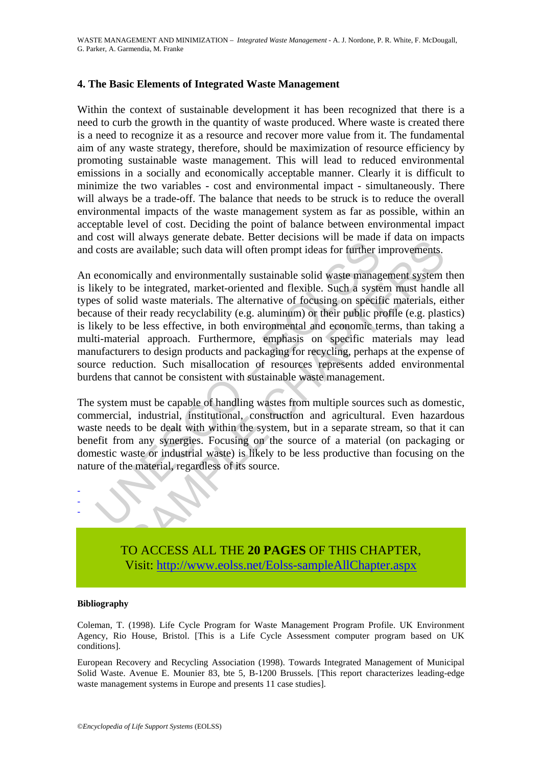### **4. The Basic Elements of Integrated Waste Management**

Within the context of sustainable development it has been recognized that there is a need to curb the growth in the quantity of waste produced. Where waste is created there is a need to recognize it as a resource and recover more value from it. The fundamental aim of any waste strategy, therefore, should be maximization of resource efficiency by promoting sustainable waste management. This will lead to reduced environmental emissions in a socially and economically acceptable manner. Clearly it is difficult to minimize the two variables - cost and environmental impact - simultaneously. There will always be a trade-off. The balance that needs to be struck is to reduce the overall environmental impacts of the waste management system as far as possible, within an acceptable level of cost. Deciding the point of balance between environmental impact and cost will always generate debate. Better decisions will be made if data on impacts and costs are available; such data will often prompt ideas for further improvements.

coat with a way's generate decator. Determined consists are available; such data will often prompt ideas for further in economically and environmentally sustainable solid waste manage kely to be integrated, market-oriented In aways generate ucoat. Detert decisions win or mare in an an on-min-<br>tre available; such data will often prompt ideas for further improvements.<br>incally and environmentally sustainable solid waste management system<br>be int An economically and environmentally sustainable solid waste management system then is likely to be integrated, market-oriented and flexible. Such a system must handle all types of solid waste materials. The alternative of focusing on specific materials, either because of their ready recyclability (e.g. aluminum) or their public profile (e.g. plastics) is likely to be less effective, in both environmental and economic terms, than taking a multi-material approach. Furthermore, emphasis on specific materials may lead manufacturers to design products and packaging for recycling, perhaps at the expense of source reduction. Such misallocation of resources represents added environmental burdens that cannot be consistent with sustainable waste management.

The system must be capable of handling wastes from multiple sources such as domestic, commercial, industrial, institutional, construction and agricultural. Even hazardous waste needs to be dealt with within the system, but in a separate stream, so that it can benefit from any synergies. Focusing on the source of a material (on packaging or domestic waste or industrial waste) is likely to be less productive than focusing on the nature of the material, regardless of its source.



TO ACCESS ALL THE **20 PAGES** OF THIS CHAPTER, Visit: [http://www.eolss.net/Eolss-sampleAllChapter.aspx](https://www.eolss.net/ebooklib/sc_cart.aspx?File=E4-13-01-10)

### **Bibliography**

Coleman, T. (1998). Life Cycle Program for Waste Management Program Profile. UK Environment Agency, Rio House, Bristol. [This is a Life Cycle Assessment computer program based on UK conditions].

European Recovery and Recycling Association (1998). Towards Integrated Management of Municipal Solid Waste. Avenue E. Mounier 83, bte 5, B-1200 Brussels. [This report characterizes leading-edge waste management systems in Europe and presents 11 case studies].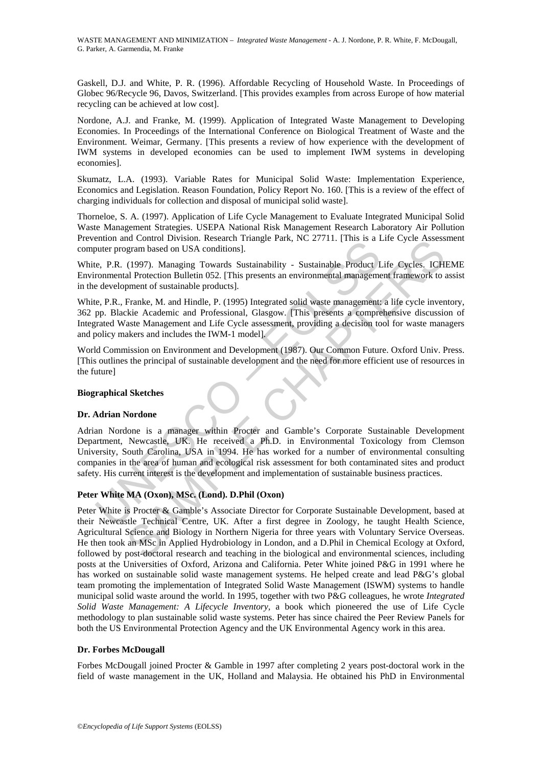Gaskell, D.J. and White, P. R. (1996). Affordable Recycling of Household Waste. In Proceedings of Globec 96/Recycle 96, Davos, Switzerland. [This provides examples from across Europe of how material recycling can be achieved at low cost].

Nordone, A.J. and Franke, M. (1999). Application of Integrated Waste Management to Developing Economies. In Proceedings of the International Conference on Biological Treatment of Waste and the Environment. Weimar, Germany. [This presents a review of how experience with the development of IWM systems in developed economies can be used to implement IWM systems in developing economies].

Skumatz, L.A. (1993). Variable Rates for Municipal Solid Waste: Implementation Experience, Economics and Legislation. Reason Foundation, Policy Report No. 160. [This is a review of the effect of charging individuals for collection and disposal of municipal solid waste].

Thorneloe, S. A. (1997). Application of Life Cycle Management to Evaluate Integrated Municipal Solid Waste Management Strategies. USEPA National Risk Management Research Laboratory Air Pollution Prevention and Control Division. Research Triangle Park, NC 27711. [This is a Life Cycle Assessment computer program based on USA conditions].

White, P.R. (1997). Managing Towards Sustainability - Sustainable Product Life Cycles. ICHEME Environmental Protection Bulletin 052. [This presents an environmental management framework to assist in the development of sustainable products].

White, P.R., Franke, M. and Hindle, P. (1995) Integrated solid waste management: a life cycle inventory, 362 pp. Blackie Academic and Professional, Glasgow. [This presents a comprehensive discussion of Integrated Waste Management and Life Cycle assessment, providing a decision tool for waste managers and policy makers and includes the IWM-1 model].

World Commission on Environment and Development (1987). Our Common Future. Oxford Univ. Press. [This outlines the principal of sustainable development and the need for more efficient use of resources in the future]

### **Biographical Sketches**

### **Dr. Adrian Nordone**

montana Control Division. Research Trianglet Take, i.e. 27711, [This is a 1<br>
nuter program based on USA conditions].<br>
e. P.R. (1997). Managing Towards Sustainability - Sustainable Product I<br>
rommental Protection Bulletin 0 Adrian Nordone is a manager within Procter and Gamble's Corporate Sustainable Development Department, Newcastle, UK. He received a Ph.D. in Environmental Toxicology from Clemson University, South Carolina, USA in 1994. He has worked for a number of environmental consulting companies in the area of human and ecological risk assessment for both contaminated sites and product safety. His current interest is the development and implementation of sustainable business practices.

### **Peter White MA (Oxon), MSc. (Lond). D.Phil (Oxon)**

In Control Division. research Triangue Fatik, NC 27711, [This is a Lie Cycle Assessort and Control Division. research Triangue Fatik, NC 27711, [This is a Lie Cycle Assess)<br>In the Chapter of State and Procession Substitute Peter White is Procter & Gamble's Associate Director for Corporate Sustainable Development, based at their Newcastle Technical Centre, UK. After a first degree in Zoology, he taught Health Science, Agricultural Science and Biology in Northern Nigeria for three years with Voluntary Service Overseas. He then took an MSc in Applied Hydrobiology in London, and a D.Phil in Chemical Ecology at Oxford, followed by post-doctoral research and teaching in the biological and environmental sciences, including posts at the Universities of Oxford, Arizona and California. Peter White joined P&G in 1991 where he has worked on sustainable solid waste management systems. He helped create and lead P&G's global team promoting the implementation of Integrated Solid Waste Management (ISWM) systems to handle municipal solid waste around the world. In 1995, together with two P&G colleagues, he wrote *Integrated Solid Waste Management: A Lifecycle Inventory,* a book which pioneered the use of Life Cycle methodology to plan sustainable solid waste systems. Peter has since chaired the Peer Review Panels for both the US Environmental Protection Agency and the UK Environmental Agency work in this area.

### **Dr. Forbes McDougall**

Forbes McDougall joined Procter & Gamble in 1997 after completing 2 years post-doctoral work in the field of waste management in the UK, Holland and Malaysia. He obtained his PhD in Environmental